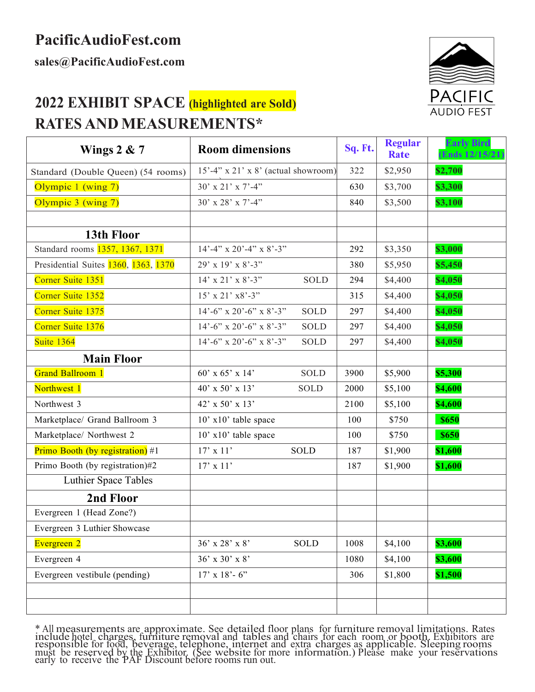### **PacificAudioFest.com**

**sales@PacificAudioFest.com**



# **2022 EXHIBIT SPACE (highlighted are Sold) RATES AND MEASUREMENTS\***

| Wings $2 & 7$                        | <b>Room dimensions</b>                           | Sq. Ft. | <b>Regular</b><br><b>Rate</b> | <b>Early Bird</b><br>(Ends 12/15/21) |
|--------------------------------------|--------------------------------------------------|---------|-------------------------------|--------------------------------------|
| Standard (Double Queen) (54 rooms)   | $15'$ -4" x 21' x 8' (actual showroom)           | 322     | \$2,950                       | \$2,700                              |
| Olympic 1 (wing 7)                   | $30'$ x $21'$ x $7'$ -4"                         | 630     | \$3,700                       | \$3,300                              |
| Olympic 3 (wing 7)                   | $30'$ x $28'$ x $7'$ -4"                         | 840     | \$3,500                       | \$3,100                              |
|                                      |                                                  |         |                               |                                      |
| 13th Floor                           |                                                  |         |                               |                                      |
| Standard rooms 1357, 1367, 1371      | $14^{\circ}$ -4" x 20'-4" x 8'-3"                | 292     | \$3,350                       | \$3,000                              |
| Presidential Suites 1360, 1363, 1370 | 29' x 19' x 8'-3"                                | 380     | \$5,950                       | \$5,450                              |
| Corner Suite 1351                    | $14'$ x $21'$ x $8'$ -3"<br>SOLD                 | 294     | \$4,400                       | \$4,050                              |
| Corner Suite 1352                    | $15'$ x $21'$ x 8'-3"                            | 315     | \$4,400                       | \$4,050                              |
| Corner Suite 1375                    | $14^{\circ}$ -6" x 20'-6" x 8'-3"<br><b>SOLD</b> | 297     | \$4,400                       | \$4,050                              |
| Corner Suite 1376                    | $14^{\circ}$ -6" x 20'-6" x 8'-3"<br><b>SOLD</b> | 297     | \$4,400                       | \$4,050                              |
| Suite 1364                           | $14^{\circ}$ -6" x 20'-6" x 8'-3"<br><b>SOLD</b> | 297     | \$4,400                       | \$4,050                              |
| <b>Main Floor</b>                    |                                                  |         |                               |                                      |
| <b>Grand Ballroom 1</b>              | $60'$ x $65'$ x 14'<br><b>SOLD</b>               | 3900    | \$5,900                       | \$5,300                              |
| Northwest 1                          | 40' x 50' x 13'<br>SOLD                          | 2000    | \$5,100                       | \$4,600                              |
| Northwest 3                          | 42' x 50' x 13'                                  | 2100    | \$5,100                       | \$4,600                              |
| Marketplace/ Grand Ballroom 3        | 10' x10' table space                             | 100     | \$750                         | \$650                                |
| Marketplace/ Northwest 2             | 10' x10' table space                             | 100     | \$750                         | \$650                                |
| Primo Booth (by registration) $#1$   | $17'$ x $11'$<br><b>SOLD</b>                     | 187     | \$1,900                       | \$1,600                              |
| Primo Booth (by registration)#2      | $17' \times 11'$                                 | 187     | \$1,900                       | \$1,600                              |
| Luthier Space Tables                 |                                                  |         |                               |                                      |
| 2nd Floor                            |                                                  |         |                               |                                      |
| Evergreen 1 (Head Zone?)             |                                                  |         |                               |                                      |
| Evergreen 3 Luthier Showcase         |                                                  |         |                               |                                      |
| Evergreen 2                          | <b>SOLD</b><br>$36'$ x $28'$ x $8'$              | 1008    | \$4,100                       | \$3,600                              |
| Evergreen 4                          | 36' x 30' x 8'                                   | 1080    | \$4,100                       | \$3,600                              |
| Evergreen vestibule (pending)        | $17'$ x $18'$ - 6"                               | 306     | \$1,800                       | \$1,500                              |
|                                      |                                                  |         |                               |                                      |
|                                      |                                                  |         |                               |                                      |

 \* All measurements are approximate. See detailed floor plans for furniture removal limitations. Rates include hotel charges, furniture removal and tables and chairs for each room or booth. Exhibitors are responsible for food, beverage, telephone, internet and extra charges as applicable. Sleeping rooms must be reserved by the Exhibitor. (See website for more information.) Please make your reservations early to receive the PAF Discount before rooms run out.